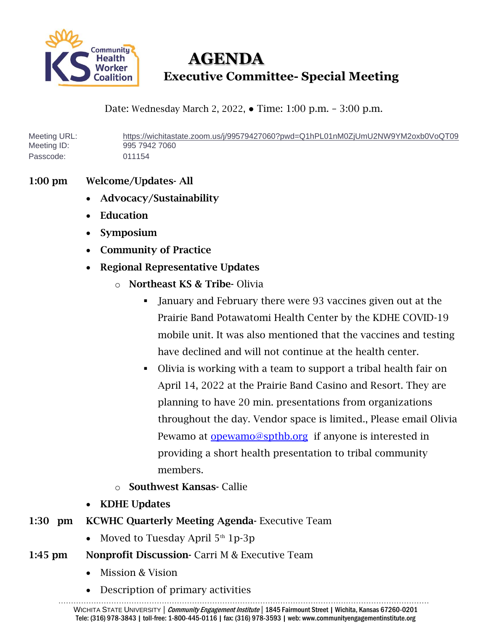

 **AGENDA Executive Committee- Special Meeting**

Date: Wednesday March 2, 2022, ● Time: 1:00 p.m. – 3:00 p.m.

Meeting URL: <https://wichitastate.zoom.us/j/99579427060?pwd=Q1hPL01nM0ZjUmU2NW9YM2oxb0VoQT09> Meeting ID: 995 7942 7060 Passcode: 011154

## 1:00 pm Welcome/Updates- All

- Advocacy/Sustainability
- Education
- Symposium
- Community of Practice
- Regional Representative Updates
	- o Northeast KS & Tribe- Olivia
		- January and February there were 93 vaccines given out at the Prairie Band Potawatomi Health Center by the KDHE COVID-19 mobile unit. It was also mentioned that the vaccines and testing have declined and will not continue at the health center.
		- Olivia is working with a team to support a tribal health fair on April 14, 2022 at the Prairie Band Casino and Resort. They are planning to have 20 min. presentations from organizations throughout the day. Vendor space is limited., Please email Olivia Pewamo at [opewamo@spthb.org](mailto:opewamo@spthb.org) if anyone is interested in providing a short health presentation to tribal community members.
	- o Southwest Kansas- Callie
- KDHE Updates
- 1:30 pm KCWHC Quarterly Meeting Agenda- Executive Team
	- Moved to Tuesday April  $5<sup>th</sup> 1p-3p$
- 1:45 pm Nonprofit Discussion- Carri M & Executive Team
	- Mission & Vision
	- Description of primary activities